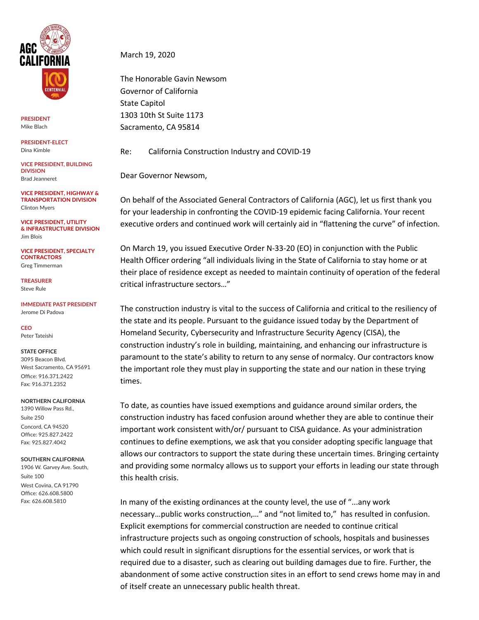

**PRESIDENT** Mike Blach

**PRESIDENT-ELECT** Dina Kimble

**VICE PRESIDENT, BUILDING DIVISION** Brad Jeanneret

**VICE PRESIDENT, HIGHWAY & TRANSPORTATION DIVISION** Clinton Myers

**VICE PRESIDENT, UTILITY & INFRASTRUCTURE DIVISION** Jim Blois

**VICE PRESIDENT, SPECIALTY CONTRACTORS** Greg Timmerman

**TREASURER** Steve Rule

**IMMEDIATE PAST PRESIDENT** Jerome Di Padova

**CEO** Peter Tateishi

## **STATE OFFICE**

3095 Beacon Blvd. West Sacramento, CA 95691 Office: 916.371.2422 Fax: 916.371.2352

## **NORTHERN CALIFORNIA**

1390 Willow Pass Rd., Suite 250 Concord, CA 94520 Office: 925.827.2422 Fax: 925.827.4042

## **SOUTHERN CALIFORNIA**

1906 W. Garvey Ave. South, Suite 100 West Covina, CA 91790 Office: 626.608.5800 Fax: 626.608.5810

March 19, 2020

The Honorable Gavin Newsom Governor of California State Capitol 1303 10th St Suite 1173 Sacramento, CA 95814

Re: California Construction Industry and COVID-19

Dear Governor Newsom,

On behalf of the Associated General Contractors of California (AGC), let us first thank you for your leadership in confronting the COVID-19 epidemic facing California. Your recent executive orders and continued work will certainly aid in "flattening the curve" of infection.

On March 19, you issued Executive Order N-33-20 (EO) in conjunction with the Public Health Officer ordering "all individuals living in the State of California to stay home or at their place of residence except as needed to maintain continuity of operation of the federal critical infrastructure sectors…"

The construction industry is vital to the success of California and critical to the resiliency of the state and its people. Pursuant to the guidance issued today by the Department of Homeland Security, Cybersecurity and Infrastructure Security Agency (CISA), the construction industry's role in building, maintaining, and enhancing our infrastructure is paramount to the state's ability to return to any sense of normalcy. Our contractors know the important role they must play in supporting the state and our nation in these trying times.

To date, as counties have issued exemptions and guidance around similar orders, the construction industry has faced confusion around whether they are able to continue their important work consistent with/or/ pursuant to CISA guidance. As your administration continues to define exemptions, we ask that you consider adopting specific language that allows our contractors to support the state during these uncertain times. Bringing certainty and providing some normalcy allows us to support your efforts in leading our state through this health crisis.

In many of the existing ordinances at the county level, the use of "...any work necessary…public works construction,…" and "not limited to," has resulted in confusion. Explicit exemptions for commercial construction are needed to continue critical infrastructure projects such as ongoing construction of schools, hospitals and businesses which could result in significant disruptions for the essential services, or work that is required due to a disaster, such as clearing out building damages due to fire. Further, the abandonment of some active construction sites in an effort to send crews home may in and of itself create an unnecessary public health threat.